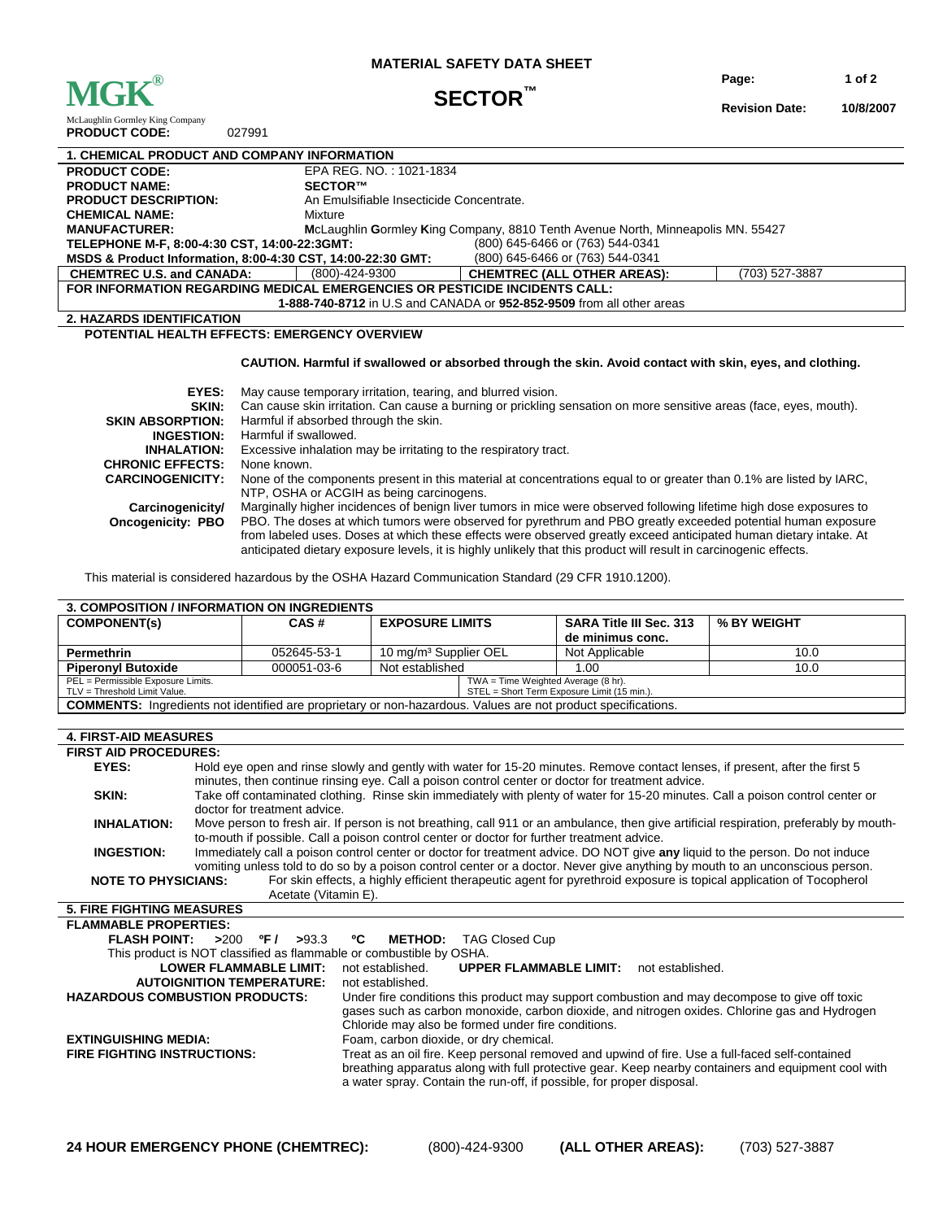

### **MATERIAL SAFETY DATA SHEET**

**Page: 1 of 2** 

## **SECTOR™**

**Revision Date: 10/8/2007**

McLaughlin Gormley King Company **PRODUCT CODE:** 027991

| <b>1. CHEMICAL PRODUCT AND COMPANY INFORMATION</b>                                              |                                                                                 |                                    |                |  |
|-------------------------------------------------------------------------------------------------|---------------------------------------------------------------------------------|------------------------------------|----------------|--|
| <b>PRODUCT CODE:</b>                                                                            | EPA REG. NO.: 1021-1834                                                         |                                    |                |  |
| <b>PRODUCT NAME:</b>                                                                            | SECTOR™                                                                         |                                    |                |  |
| <b>PRODUCT DESCRIPTION:</b>                                                                     | An Emulsifiable Insecticide Concentrate.                                        |                                    |                |  |
| <b>CHEMICAL NAME:</b>                                                                           | Mixture                                                                         |                                    |                |  |
| <b>MANUFACTURER:</b>                                                                            | McLaughlin Gormley King Company, 8810 Tenth Avenue North, Minneapolis MN. 55427 |                                    |                |  |
| (800) 645-6466 or (763) 544-0341<br>TELEPHONE M-F, 8:00-4:30 CST, 14:00-22:3GMT:                |                                                                                 |                                    |                |  |
| MSDS & Product Information, 8:00-4:30 CST, 14:00-22:30 GMT:<br>(800) 645-6466 or (763) 544-0341 |                                                                                 |                                    |                |  |
| <b>CHEMTREC U.S. and CANADA:</b>                                                                | (800)-424-9300                                                                  | <b>CHEMTREC (ALL OTHER AREAS):</b> | (703) 527-3887 |  |
| FOR INFORMATION REGARDING MEDICAL EMERGENCIES OR PESTICIDE INCIDENTS CALL:                      |                                                                                 |                                    |                |  |
| 1-888-740-8712 in U.S and CANADA or 952-852-9509 from all other areas                           |                                                                                 |                                    |                |  |
| <b>2. HAZARDS IDENTIFICATION</b>                                                                |                                                                                 |                                    |                |  |
| <b>POTENTIAL HEALTH EFFECTS: EMERGENCY OVERVIEW</b>                                             |                                                                                 |                                    |                |  |
|                                                                                                 |                                                                                 |                                    |                |  |

## **CAUTION. Harmful if swallowed or absorbed through the skin. Avoid contact with skin, eyes, and clothing.**

| EYES:                    | May cause temporary irritation, tearing, and blurred vision.                                                        |
|--------------------------|---------------------------------------------------------------------------------------------------------------------|
| SKIN:                    | Can cause skin irritation. Can cause a burning or prickling sensation on more sensitive areas (face, eyes, mouth).  |
| <b>SKIN ABSORPTION:</b>  | Harmful if absorbed through the skin.                                                                               |
| <b>INGESTION:</b>        | Harmful if swallowed.                                                                                               |
| <b>INHALATION:</b>       | Excessive inhalation may be irritating to the respiratory tract.                                                    |
| <b>CHRONIC EFFECTS:</b>  | None known.                                                                                                         |
| <b>CARCINOGENICITY:</b>  | None of the components present in this material at concentrations equal to or greater than 0.1% are listed by IARC. |
|                          | NTP, OSHA or ACGIH as being carcinogens.                                                                            |
| Carcinogenicity/         | Marginally higher incidences of benign liver tumors in mice were observed following lifetime high dose exposures to |
| <b>Oncogenicity: PBO</b> | PBO. The doses at which tumors were observed for pyrethrum and PBO greatly exceeded potential human exposure        |
|                          | from labeled uses. Doses at which these effects were observed greatly exceed anticipated human dietary intake. At   |
|                          | anticipated dietary exposure levels, it is highly unlikely that this product will result in carcinogenic effects.   |

This material is considered hazardous by the OSHA Hazard Communication Standard (29 CFR 1910.1200).

| <b>3. COMPOSITION / INFORMATION ON INGREDIENTS</b>                                                                                                                         |                                                                                                                                                                                                                                                              |                                                                                                  |                                   |                                     |                                                                                                                      |                                                                                                                              |  |
|----------------------------------------------------------------------------------------------------------------------------------------------------------------------------|--------------------------------------------------------------------------------------------------------------------------------------------------------------------------------------------------------------------------------------------------------------|--------------------------------------------------------------------------------------------------|-----------------------------------|-------------------------------------|----------------------------------------------------------------------------------------------------------------------|------------------------------------------------------------------------------------------------------------------------------|--|
| <b>COMPONENT(s)</b>                                                                                                                                                        |                                                                                                                                                                                                                                                              | CAS#                                                                                             | <b>EXPOSURE LIMITS</b>            |                                     | <b>SARA Title III Sec. 313</b>                                                                                       | % BY WEIGHT                                                                                                                  |  |
|                                                                                                                                                                            |                                                                                                                                                                                                                                                              |                                                                                                  |                                   |                                     | de minimus conc.                                                                                                     |                                                                                                                              |  |
| <b>Permethrin</b>                                                                                                                                                          |                                                                                                                                                                                                                                                              | 052645-53-1                                                                                      | 10 mg/m <sup>3</sup> Supplier OEL |                                     | Not Applicable                                                                                                       | 10.0                                                                                                                         |  |
| <b>Piperonyl Butoxide</b>                                                                                                                                                  |                                                                                                                                                                                                                                                              | 000051-03-6                                                                                      | Not established                   |                                     | 1.00                                                                                                                 | 10.0                                                                                                                         |  |
| PEL = Permissible Exposure Limits.                                                                                                                                         |                                                                                                                                                                                                                                                              |                                                                                                  |                                   | TWA = Time Weighted Average (8 hr). |                                                                                                                      |                                                                                                                              |  |
| TLV = Threshold Limit Value.                                                                                                                                               |                                                                                                                                                                                                                                                              |                                                                                                  |                                   |                                     | STEL = Short Term Exposure Limit (15 min.).                                                                          |                                                                                                                              |  |
|                                                                                                                                                                            |                                                                                                                                                                                                                                                              |                                                                                                  |                                   |                                     | <b>COMMENTS:</b> Ingredients not identified are proprietary or non-hazardous. Values are not product specifications. |                                                                                                                              |  |
| <b>4. FIRST-AID MEASURES</b>                                                                                                                                               |                                                                                                                                                                                                                                                              |                                                                                                  |                                   |                                     |                                                                                                                      |                                                                                                                              |  |
|                                                                                                                                                                            |                                                                                                                                                                                                                                                              |                                                                                                  |                                   |                                     |                                                                                                                      |                                                                                                                              |  |
| <b>FIRST AID PROCEDURES:</b>                                                                                                                                               |                                                                                                                                                                                                                                                              |                                                                                                  |                                   |                                     |                                                                                                                      |                                                                                                                              |  |
| EYES:                                                                                                                                                                      |                                                                                                                                                                                                                                                              |                                                                                                  |                                   |                                     |                                                                                                                      | Hold eye open and rinse slowly and gently with water for 15-20 minutes. Remove contact lenses, if present, after the first 5 |  |
|                                                                                                                                                                            |                                                                                                                                                                                                                                                              | minutes, then continue rinsing eye. Call a poison control center or doctor for treatment advice. |                                   |                                     |                                                                                                                      |                                                                                                                              |  |
| SKIN:                                                                                                                                                                      | Take off contaminated clothing. Rinse skin immediately with plenty of water for 15-20 minutes. Call a poison control center or                                                                                                                               |                                                                                                  |                                   |                                     |                                                                                                                      |                                                                                                                              |  |
|                                                                                                                                                                            | doctor for treatment advice.<br>Move person to fresh air. If person is not breathing, call 911 or an ambulance, then give artificial respiration, preferably by mouth-                                                                                       |                                                                                                  |                                   |                                     |                                                                                                                      |                                                                                                                              |  |
| <b>INHALATION:</b>                                                                                                                                                         |                                                                                                                                                                                                                                                              |                                                                                                  |                                   |                                     |                                                                                                                      |                                                                                                                              |  |
|                                                                                                                                                                            |                                                                                                                                                                                                                                                              |                                                                                                  |                                   |                                     | to-mouth if possible. Call a poison control center or doctor for further treatment advice.                           |                                                                                                                              |  |
| <b>INGESTION:</b>                                                                                                                                                          | Immediately call a poison control center or doctor for treatment advice. DO NOT give any liquid to the person. Do not induce<br>vomiting unless told to do so by a poison control center or a doctor. Never give anything by mouth to an unconscious person. |                                                                                                  |                                   |                                     |                                                                                                                      |                                                                                                                              |  |
|                                                                                                                                                                            |                                                                                                                                                                                                                                                              |                                                                                                  |                                   |                                     |                                                                                                                      |                                                                                                                              |  |
| <b>NOTE TO PHYSICIANS:</b>                                                                                                                                                 |                                                                                                                                                                                                                                                              | Acetate (Vitamin E).                                                                             |                                   |                                     |                                                                                                                      | For skin effects, a highly efficient therapeutic agent for pyrethroid exposure is topical application of Tocopherol          |  |
| <b>5. FIRE FIGHTING MEASURES</b>                                                                                                                                           |                                                                                                                                                                                                                                                              |                                                                                                  |                                   |                                     |                                                                                                                      |                                                                                                                              |  |
| <b>FLAMMABLE PROPERTIES:</b>                                                                                                                                               |                                                                                                                                                                                                                                                              |                                                                                                  |                                   |                                     |                                                                                                                      |                                                                                                                              |  |
| <b>FLASH POINT:</b>                                                                                                                                                        |                                                                                                                                                                                                                                                              | $^{\circ}$ F /<br>>93.3                                                                          | ٥C<br><b>METHOD:</b>              | <b>TAG Closed Cup</b>               |                                                                                                                      |                                                                                                                              |  |
| >200                                                                                                                                                                       |                                                                                                                                                                                                                                                              |                                                                                                  |                                   |                                     |                                                                                                                      |                                                                                                                              |  |
| This product is NOT classified as flammable or combustible by OSHA.<br><b>UPPER FLAMMABLE LIMIT:</b> not established.<br><b>LOWER FLAMMABLE LIMIT:</b><br>not established. |                                                                                                                                                                                                                                                              |                                                                                                  |                                   |                                     |                                                                                                                      |                                                                                                                              |  |
|                                                                                                                                                                            |                                                                                                                                                                                                                                                              | <b>AUTOIGNITION TEMPERATURE:</b>                                                                 | not established.                  |                                     |                                                                                                                      |                                                                                                                              |  |
| <b>HAZARDOUS COMBUSTION PRODUCTS:</b>                                                                                                                                      |                                                                                                                                                                                                                                                              |                                                                                                  |                                   |                                     |                                                                                                                      | Under fire conditions this product may support combustion and may decompose to give off toxic                                |  |
|                                                                                                                                                                            |                                                                                                                                                                                                                                                              |                                                                                                  |                                   |                                     |                                                                                                                      | gases such as carbon monoxide, carbon dioxide, and nitrogen oxides. Chlorine gas and Hydrogen                                |  |
|                                                                                                                                                                            |                                                                                                                                                                                                                                                              |                                                                                                  |                                   |                                     |                                                                                                                      |                                                                                                                              |  |
| Chloride may also be formed under fire conditions.<br>Foam, carbon dioxide, or dry chemical.<br><b>EXTINGUISHING MEDIA:</b>                                                |                                                                                                                                                                                                                                                              |                                                                                                  |                                   |                                     |                                                                                                                      |                                                                                                                              |  |
| Treat as an oil fire. Keep personal removed and upwind of fire. Use a full-faced self-contained<br><b>FIRE FIGHTING INSTRUCTIONS:</b>                                      |                                                                                                                                                                                                                                                              |                                                                                                  |                                   |                                     |                                                                                                                      |                                                                                                                              |  |
| breathing apparatus along with full protective gear. Keep nearby containers and equipment cool with                                                                        |                                                                                                                                                                                                                                                              |                                                                                                  |                                   |                                     |                                                                                                                      |                                                                                                                              |  |
|                                                                                                                                                                            | a water spray. Contain the run-off, if possible, for proper disposal.                                                                                                                                                                                        |                                                                                                  |                                   |                                     |                                                                                                                      |                                                                                                                              |  |
|                                                                                                                                                                            |                                                                                                                                                                                                                                                              |                                                                                                  |                                   |                                     |                                                                                                                      |                                                                                                                              |  |